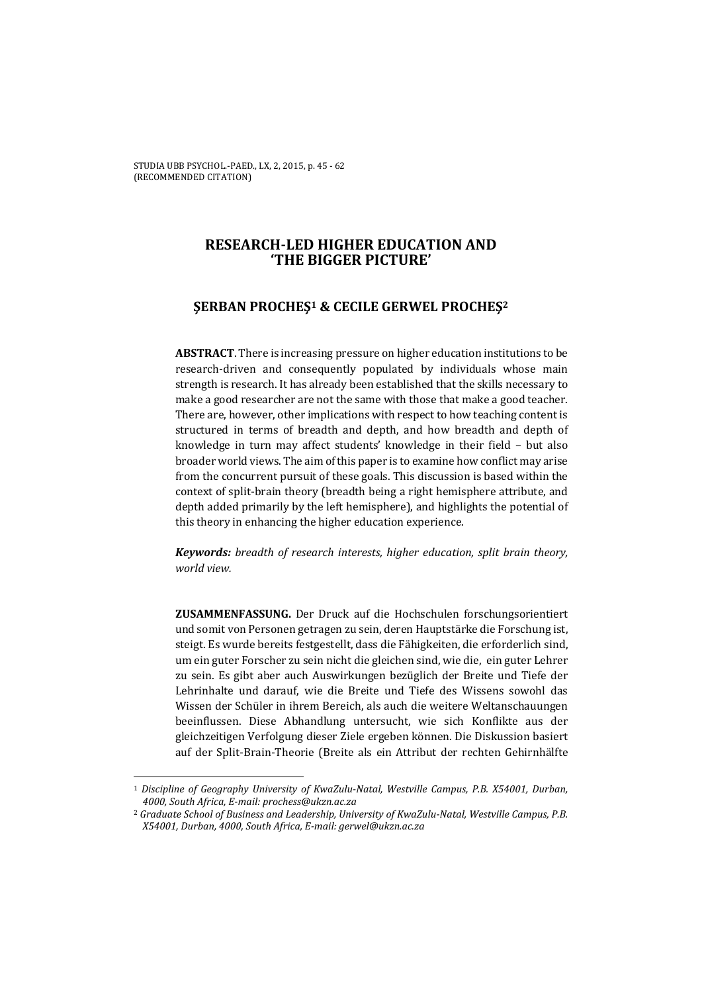# **RESEARCH-LED HIGHER EDUCATION AND 'THE BIGGER PICTURE'**

# **ŞERBAN PROCHEŞ1 & CECILE GERWEL PROCHEŞ<sup>2</sup>**

**ABSTRACT**. There is increasing pressure on higher education institutions to be research-driven and consequently populated by individuals whose main strength is research. It has already been established that the skills necessary to make a good researcher are not the same with those that make a good teacher. There are, however, other implications with respect to how teaching content is structured in terms of breadth and depth, and how breadth and depth of knowledge in turn may affect students' knowledge in their field – but also broader world views. The aim of this paper is to examine how conflict may arise from the concurrent pursuit of these goals. This discussion is based within the context of split-brain theory (breadth being a right hemisphere attribute, and depth added primarily by the left hemisphere), and highlights the potential of this theory in enhancing the higher education experience.

*Keywords: breadth of research interests, higher education, split brain theory, world view.* 

**ZUSAMMENFASSUNG.** Der Druck auf die Hochschulen forschungsorientiert und somit von Personen getragen zu sein, deren Hauptstärke die Forschung ist, steigt. Es wurde bereits festgestellt, dass die Fähigkeiten, die erforderlich sind, um ein guter Forscher zu sein nicht die gleichen sind, wie die, ein guter Lehrer zu sein. Es gibt aber auch Auswirkungen bezüglich der Breite und Tiefe der Lehrinhalte und darauf, wie die Breite und Tiefe des Wissens sowohl das Wissen der Schüler in ihrem Bereich, als auch die weitere Weltanschauungen beeinflussen. Diese Abhandlung untersucht, wie sich Konflikte aus der gleichzeitigen Verfolgung dieser Ziele ergeben können. Die Diskussion basiert auf der Split-Brain-Theorie (Breite als ein Attribut der rechten Gehirnhälfte

 $\overline{\phantom{0}}$ 

<sup>1</sup> *Discipline of Geography University of KwaZulu-Natal, Westville Campus, P.B. X54001, Durban, 4000, South Africa, E-mail: prochess@ukzn.ac.za*

<sup>2</sup> *Graduate School of Business and Leadership, University of KwaZulu-Natal, Westville Campus, P.B. X54001, Durban, 4000, South Africa, E-mail: gerwel@ukzn.ac.za*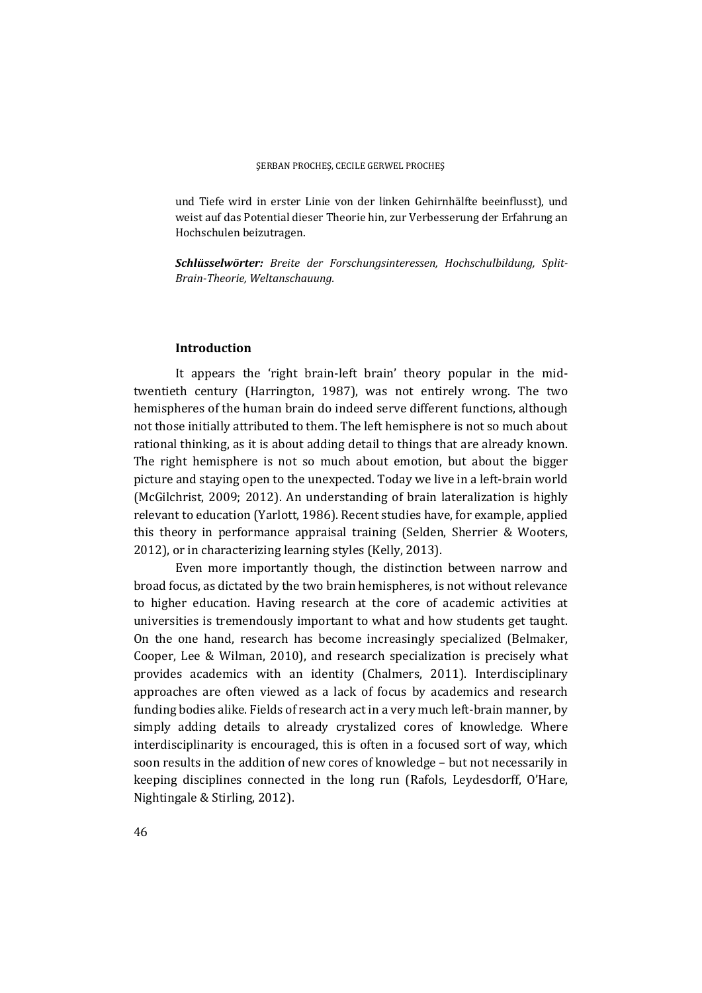und Tiefe wird in erster Linie von der linken Gehirnhälfte beeinflusst), und weist auf das Potential dieser Theorie hin, zur Verbesserung der Erfahrung an Hochschulen beizutragen.

*Schlüsselwörter: Breite der Forschungsinteressen, Hochschulbildung, Split-Brain-Theorie, Weltanschauung.* 

## **Introduction**

It appears the 'right brain-left brain' theory popular in the midtwentieth century (Harrington, 1987), was not entirely wrong. The two hemispheres of the human brain do indeed serve different functions, although not those initially attributed to them. The left hemisphere is not so much about rational thinking, as it is about adding detail to things that are already known. The right hemisphere is not so much about emotion, but about the bigger picture and staying open to the unexpected. Today we live in a left-brain world (McGilchrist, 2009; 2012). An understanding of brain lateralization is highly relevant to education (Yarlott, 1986). Recent studies have, for example, applied this theory in performance appraisal training (Selden, Sherrier & Wooters, 2012), or in characterizing learning styles (Kelly, 2013).

Even more importantly though, the distinction between narrow and broad focus, as dictated by the two brain hemispheres, is not without relevance to higher education. Having research at the core of academic activities at universities is tremendously important to what and how students get taught. On the one hand, research has become increasingly specialized (Belmaker, Cooper, Lee & Wilman, 2010), and research specialization is precisely what provides academics with an identity (Chalmers, 2011). Interdisciplinary approaches are often viewed as a lack of focus by academics and research funding bodies alike. Fields of research act in a very much left-brain manner, by simply adding details to already crystalized cores of knowledge. Where interdisciplinarity is encouraged, this is often in a focused sort of way, which soon results in the addition of new cores of knowledge – but not necessarily in keeping disciplines connected in the long run (Rafols, Leydesdorff, O'Hare, Nightingale & Stirling, 2012).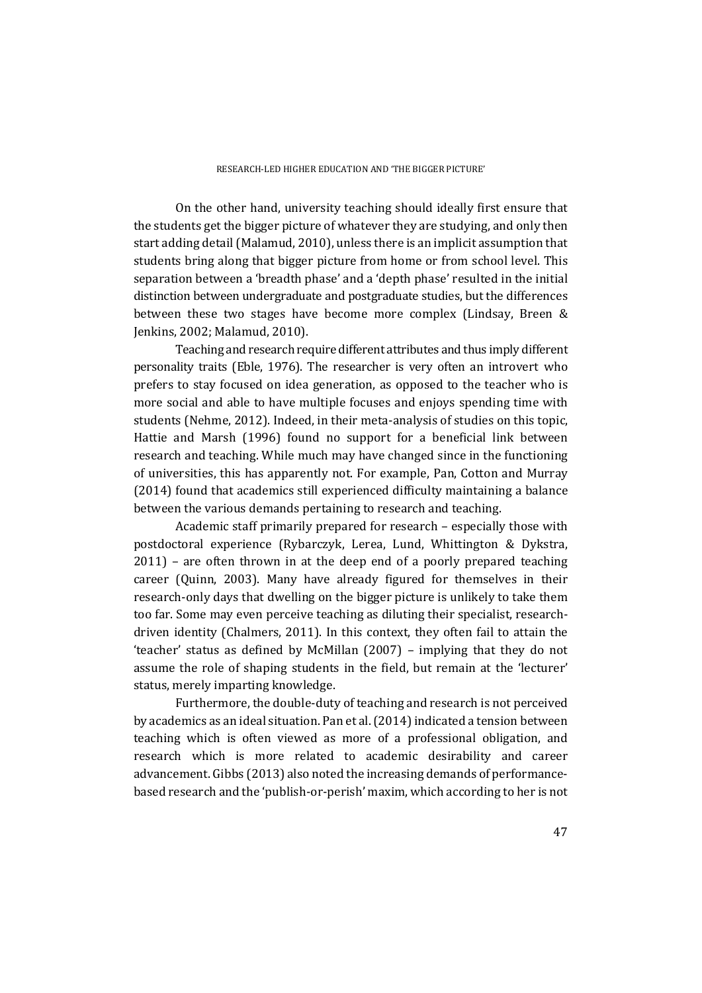On the other hand, university teaching should ideally first ensure that the students get the bigger picture of whatever they are studying, and only then start adding detail (Malamud, 2010), unless there is an implicit assumption that students bring along that bigger picture from home or from school level. This separation between a 'breadth phase' and a 'depth phase' resulted in the initial distinction between undergraduate and postgraduate studies, but the differences between these two stages have become more complex (Lindsay, Breen & Jenkins, 2002; Malamud, 2010).

Teaching and research require different attributes and thus imply different personality traits (Eble, 1976). The researcher is very often an introvert who prefers to stay focused on idea generation, as opposed to the teacher who is more social and able to have multiple focuses and enjoys spending time with students (Nehme, 2012). Indeed, in their meta-analysis of studies on this topic, Hattie and Marsh (1996) found no support for a beneficial link between research and teaching. While much may have changed since in the functioning of universities, this has apparently not. For example, Pan, Cotton and Murray (2014) found that academics still experienced difficulty maintaining a balance between the various demands pertaining to research and teaching.

Academic staff primarily prepared for research – especially those with postdoctoral experience (Rybarczyk, Lerea, Lund, Whittington & Dykstra, 2011) – are often thrown in at the deep end of a poorly prepared teaching career (Quinn, 2003). Many have already figured for themselves in their research-only days that dwelling on the bigger picture is unlikely to take them too far. Some may even perceive teaching as diluting their specialist, researchdriven identity (Chalmers, 2011). In this context, they often fail to attain the 'teacher' status as defined by McMillan (2007) – implying that they do not assume the role of shaping students in the field, but remain at the 'lecturer' status, merely imparting knowledge.

Furthermore, the double-duty of teaching and research is not perceived by academics as an ideal situation. Pan et al. (2014) indicated a tension between teaching which is often viewed as more of a professional obligation, and research which is more related to academic desirability and career advancement. Gibbs (2013) also noted the increasing demands of performancebased research and the 'publish-or-perish' maxim, which according to her is not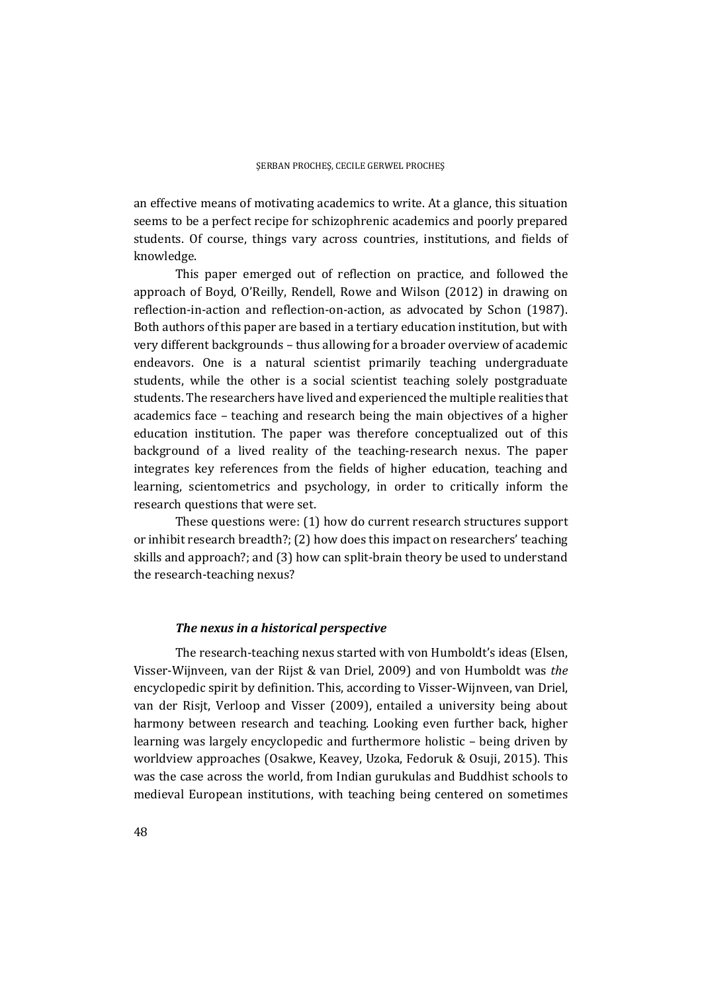an effective means of motivating academics to write. At a glance, this situation seems to be a perfect recipe for schizophrenic academics and poorly prepared students. Of course, things vary across countries, institutions, and fields of knowledge.

This paper emerged out of reflection on practice, and followed the approach of Boyd, O'Reilly, Rendell, Rowe and Wilson (2012) in drawing on reflection-in-action and reflection-on-action, as advocated by Schon (1987). Both authors of this paper are based in a tertiary education institution, but with very different backgrounds – thus allowing for a broader overview of academic endeavors. One is a natural scientist primarily teaching undergraduate students, while the other is a social scientist teaching solely postgraduate students. The researchers have lived and experienced the multiple realities that academics face – teaching and research being the main objectives of a higher education institution. The paper was therefore conceptualized out of this background of a lived reality of the teaching-research nexus. The paper integrates key references from the fields of higher education, teaching and learning, scientometrics and psychology, in order to critically inform the research questions that were set.

These questions were: (1) how do current research structures support or inhibit research breadth?; (2) how does this impact on researchers' teaching skills and approach?; and (3) how can split-brain theory be used to understand the research-teaching nexus?

## *The nexus in a historical perspective*

The research-teaching nexus started with von Humboldt's ideas (Elsen, Visser-Wijnveen, van der Rijst & van Driel, 2009) and von Humboldt was *the* encyclopedic spirit by definition. This, according to Visser-Wijnveen, van Driel, van der Risjt, Verloop and Visser (2009), entailed a university being about harmony between research and teaching. Looking even further back, higher learning was largely encyclopedic and furthermore holistic – being driven by worldview approaches (Osakwe, Keavey, Uzoka, Fedoruk & Osuji, 2015). This was the case across the world, from Indian gurukulas and Buddhist schools to medieval European institutions, with teaching being centered on sometimes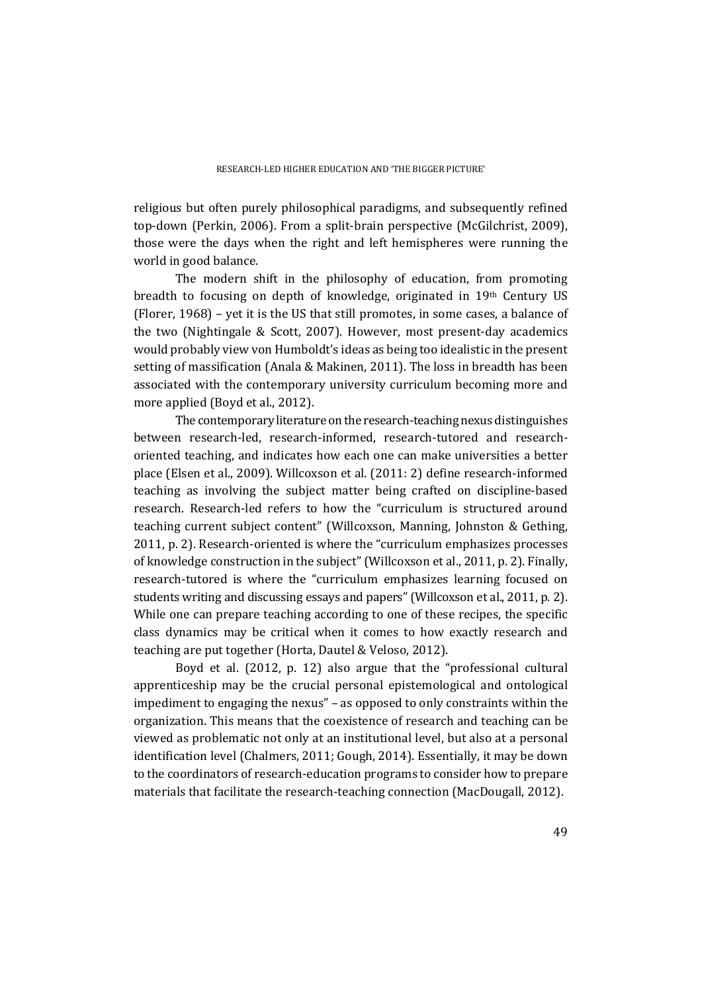religious but often purely philosophical paradigms, and subsequently refined top-down (Perkin, 2006). From a split-brain perspective (McGilchrist, 2009), those were the days when the right and left hemispheres were running the world in good balance.

The modern shift in the philosophy of education, from promoting breadth to focusing on depth of knowledge, originated in 19th Century US (Florer, 1968) – yet it is the US that still promotes, in some cases, a balance of the two (Nightingale & Scott, 2007). However, most present-day academics would probably view von Humboldt's ideas as being too idealistic in the present setting of massification (Anala & Makinen, 2011). The loss in breadth has been associated with the contemporary university curriculum becoming more and more applied (Boyd et al., 2012).

The contemporary literature on the research-teaching nexus distinguishes between research-led, research-informed, research-tutored and researchoriented teaching, and indicates how each one can make universities a better place (Elsen et al., 2009). Willcoxson et al. (2011: 2) define research-informed teaching as involving the subject matter being crafted on discipline-based research. Research-led refers to how the "curriculum is structured around teaching current subject content" (Willcoxson, Manning, Johnston & Gething, 2011, p. 2). Research-oriented is where the "curriculum emphasizes processes of knowledge construction in the subject" (Willcoxson et al., 2011, p. 2). Finally, research-tutored is where the "curriculum emphasizes learning focused on students writing and discussing essays and papers" (Willcoxson et al., 2011, p. 2). While one can prepare teaching according to one of these recipes, the specific class dynamics may be critical when it comes to how exactly research and teaching are put together (Horta, Dautel & Veloso, 2012).

Boyd et al. (2012, p. 12) also argue that the "professional cultural apprenticeship may be the crucial personal epistemological and ontological impediment to engaging the nexus" – as opposed to only constraints within the organization. This means that the coexistence of research and teaching can be viewed as problematic not only at an institutional level, but also at a personal identification level (Chalmers, 2011; Gough, 2014). Essentially, it may be down to the coordinators of research-education programs to consider how to prepare materials that facilitate the research-teaching connection (MacDougall, 2012).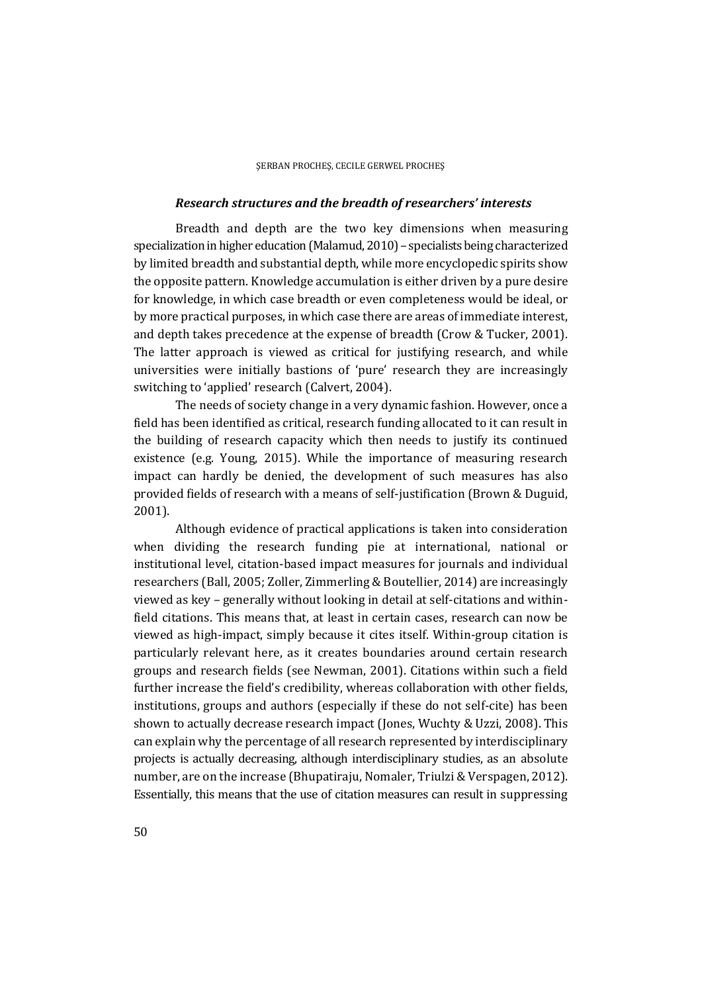### *Research structures and the breadth of researchers' interests*

Breadth and depth are the two key dimensions when measuring specialization in higher education (Malamud, 2010) – specialists being characterized by limited breadth and substantial depth, while more encyclopedic spirits show the opposite pattern. Knowledge accumulation is either driven by a pure desire for knowledge, in which case breadth or even completeness would be ideal, or by more practical purposes, in which case there are areas of immediate interest, and depth takes precedence at the expense of breadth (Crow & Tucker, 2001). The latter approach is viewed as critical for justifying research, and while universities were initially bastions of 'pure' research they are increasingly switching to 'applied' research (Calvert, 2004).

The needs of society change in a very dynamic fashion. However, once a field has been identified as critical, research funding allocated to it can result in the building of research capacity which then needs to justify its continued existence (e.g. Young, 2015). While the importance of measuring research impact can hardly be denied, the development of such measures has also provided fields of research with a means of self-justification (Brown & Duguid, 2001).

Although evidence of practical applications is taken into consideration when dividing the research funding pie at international, national or institutional level, citation-based impact measures for journals and individual researchers (Ball, 2005; Zoller, Zimmerling & Boutellier, 2014) are increasingly viewed as key – generally without looking in detail at self-citations and withinfield citations. This means that, at least in certain cases, research can now be viewed as high-impact, simply because it cites itself. Within-group citation is particularly relevant here, as it creates boundaries around certain research groups and research fields (see Newman, 2001). Citations within such a field further increase the field's credibility, whereas collaboration with other fields, institutions, groups and authors (especially if these do not self-cite) has been shown to actually decrease research impact (Jones, Wuchty & Uzzi, 2008). This can explain why the percentage of all research represented by interdisciplinary projects is actually decreasing, although interdisciplinary studies, as an absolute number, are on the increase (Bhupatiraju, Nomaler, Triulzi & Verspagen, 2012). Essentially, this means that the use of citation measures can result in suppressing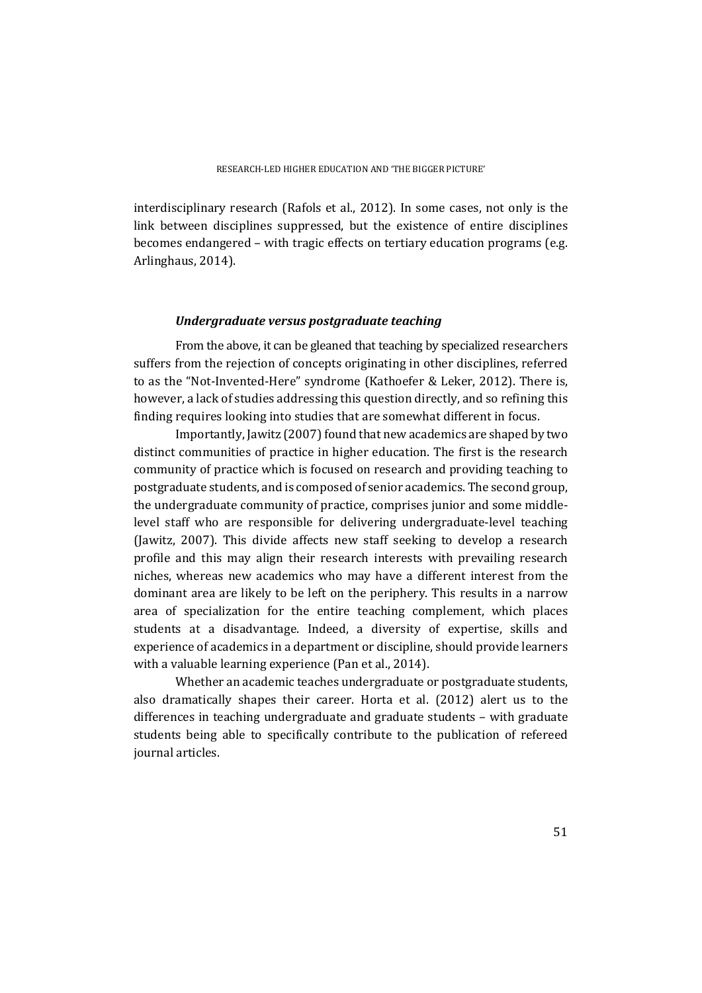interdisciplinary research (Rafols et al., 2012). In some cases, not only is the link between disciplines suppressed, but the existence of entire disciplines becomes endangered – with tragic effects on tertiary education programs (e.g. Arlinghaus, 2014).

### *Undergraduate versus postgraduate teaching*

From the above, it can be gleaned that teaching by specialized researchers suffers from the rejection of concepts originating in other disciplines, referred to as the "Not-Invented-Here" syndrome (Kathoefer & Leker, 2012). There is, however, a lack of studies addressing this question directly, and so refining this finding requires looking into studies that are somewhat different in focus.

Importantly, Jawitz (2007) found that new academics are shaped by two distinct communities of practice in higher education. The first is the research community of practice which is focused on research and providing teaching to postgraduate students, and is composed of senior academics. The second group, the undergraduate community of practice, comprises junior and some middlelevel staff who are responsible for delivering undergraduate-level teaching (Jawitz, 2007). This divide affects new staff seeking to develop a research profile and this may align their research interests with prevailing research niches, whereas new academics who may have a different interest from the dominant area are likely to be left on the periphery. This results in a narrow area of specialization for the entire teaching complement, which places students at a disadvantage. Indeed, a diversity of expertise, skills and experience of academics in a department or discipline, should provide learners with a valuable learning experience (Pan et al., 2014).

Whether an academic teaches undergraduate or postgraduate students, also dramatically shapes their career. Horta et al. (2012) alert us to the differences in teaching undergraduate and graduate students – with graduate students being able to specifically contribute to the publication of refereed journal articles.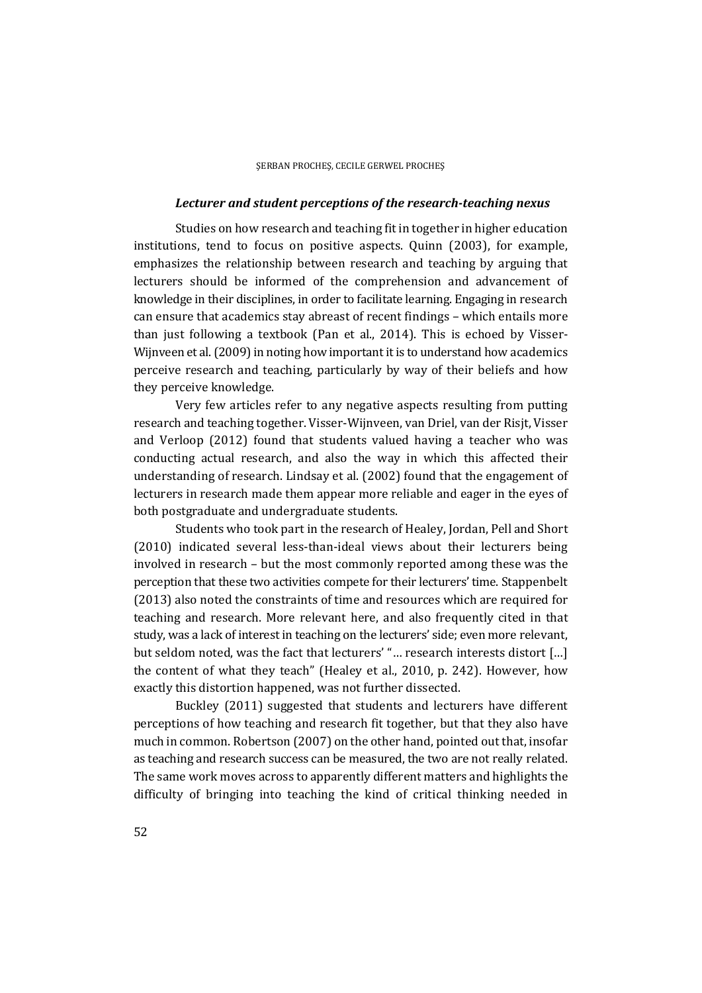#### *Lecturer and student perceptions of the research-teaching nexus*

Studies on how research and teaching fit in together in higher education institutions, tend to focus on positive aspects. Quinn (2003), for example, emphasizes the relationship between research and teaching by arguing that lecturers should be informed of the comprehension and advancement of knowledge in their disciplines, in order to facilitate learning. Engaging in research can ensure that academics stay abreast of recent findings – which entails more than just following a textbook (Pan et al., 2014). This is echoed by Visser-Wijnveen et al. (2009) in noting how important it is to understand how academics perceive research and teaching, particularly by way of their beliefs and how they perceive knowledge.

Very few articles refer to any negative aspects resulting from putting research and teaching together. Visser-Wijnveen, van Driel, van der Risjt, Visser and Verloop (2012) found that students valued having a teacher who was conducting actual research, and also the way in which this affected their understanding of research. Lindsay et al. (2002) found that the engagement of lecturers in research made them appear more reliable and eager in the eyes of both postgraduate and undergraduate students.

Students who took part in the research of Healey, Jordan, Pell and Short (2010) indicated several less-than-ideal views about their lecturers being involved in research – but the most commonly reported among these was the perception that these two activities compete for their lecturers' time. Stappenbelt (2013) also noted the constraints of time and resources which are required for teaching and research. More relevant here, and also frequently cited in that study, was a lack of interest in teaching on the lecturers' side; even more relevant, but seldom noted, was the fact that lecturers' "… research interests distort […] the content of what they teach" (Healey et al., 2010, p. 242). However, how exactly this distortion happened, was not further dissected.

Buckley (2011) suggested that students and lecturers have different perceptions of how teaching and research fit together, but that they also have much in common. Robertson (2007) on the other hand, pointed out that, insofar as teaching and research success can be measured, the two are not really related. The same work moves across to apparently different matters and highlights the difficulty of bringing into teaching the kind of critical thinking needed in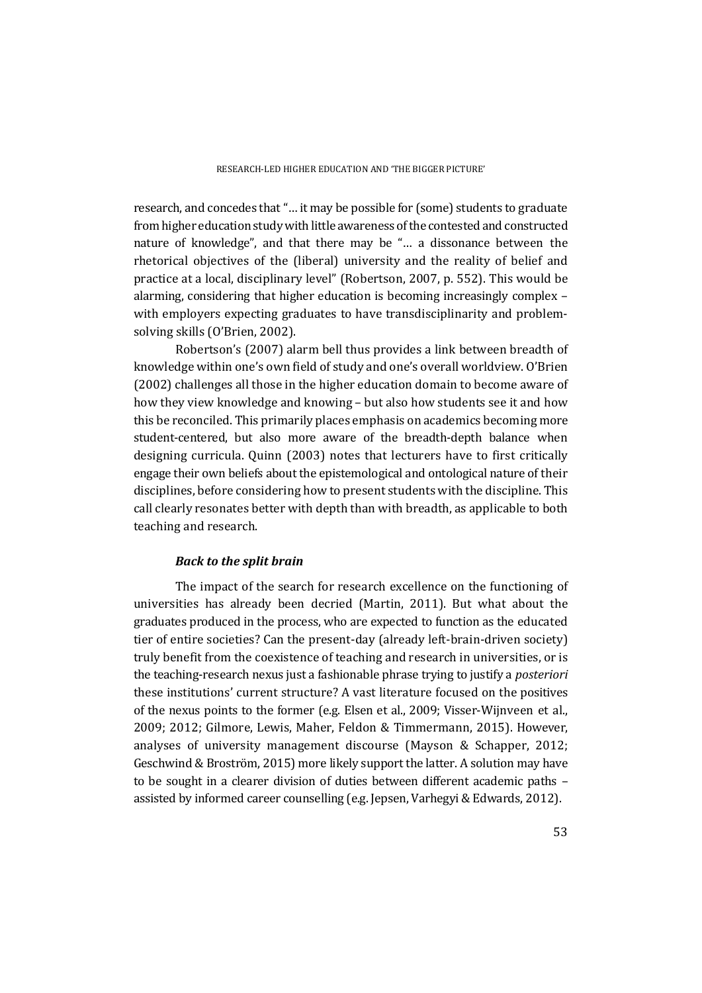research, and concedes that "… it may be possible for (some) students to graduate from higher education study with little awareness of the contested and constructed nature of knowledge", and that there may be "… a dissonance between the rhetorical objectives of the (liberal) university and the reality of belief and practice at a local, disciplinary level" (Robertson, 2007, p. 552). This would be alarming, considering that higher education is becoming increasingly complex – with employers expecting graduates to have transdisciplinarity and problemsolving skills (O'Brien, 2002).

Robertson's (2007) alarm bell thus provides a link between breadth of knowledge within one's own field of study and one's overall worldview. O'Brien (2002) challenges all those in the higher education domain to become aware of how they view knowledge and knowing – but also how students see it and how this be reconciled. This primarily places emphasis on academics becoming more student-centered, but also more aware of the breadth-depth balance when designing curricula. Quinn (2003) notes that lecturers have to first critically engage their own beliefs about the epistemological and ontological nature of their disciplines, before considering how to present students with the discipline. This call clearly resonates better with depth than with breadth, as applicable to both teaching and research.

### *Back to the split brain*

The impact of the search for research excellence on the functioning of universities has already been decried (Martin, 2011). But what about the graduates produced in the process, who are expected to function as the educated tier of entire societies? Can the present-day (already left-brain-driven society) truly benefit from the coexistence of teaching and research in universities, or is the teaching-research nexus just a fashionable phrase trying to justify a *posteriori* these institutions' current structure? A vast literature focused on the positives of the nexus points to the former (e.g. Elsen et al., 2009; Visser-Wijnveen et al., 2009; 2012; Gilmore, Lewis, Maher, Feldon & Timmermann, 2015). However, analyses of university management discourse (Mayson & Schapper, 2012; Geschwind & Broström, 2015) more likely support the latter. A solution may have to be sought in a clearer division of duties between different academic paths – assisted by informed career counselling (e.g. Jepsen, Varhegyi & Edwards, 2012).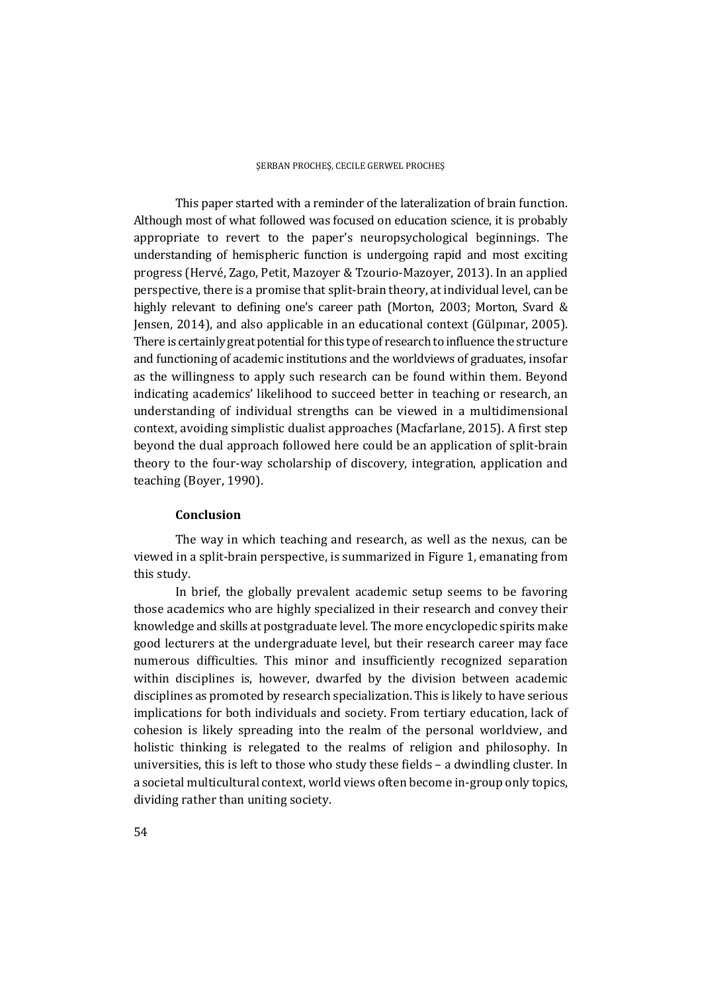This paper started with a reminder of the lateralization of brain function. Although most of what followed was focused on education science, it is probably appropriate to revert to the paper's neuropsychological beginnings. The understanding of hemispheric function is undergoing rapid and most exciting progress (Hervé, Zago, Petit, Mazoyer & Tzourio-Mazoyer, 2013). In an applied perspective, there is a promise that split-brain theory, at individual level, can be highly relevant to defining one's career path (Morton, 2003; Morton, Svard & Jensen, 2014), and also applicable in an educational context (Gülpınar, 2005). There is certainly great potential for this type of research to influence the structure and functioning of academic institutions and the worldviews of graduates, insofar as the willingness to apply such research can be found within them. Beyond indicating academics' likelihood to succeed better in teaching or research, an understanding of individual strengths can be viewed in a multidimensional context, avoiding simplistic dualist approaches (Macfarlane, 2015). A first step beyond the dual approach followed here could be an application of split-brain theory to the four-way scholarship of discovery, integration, application and teaching (Boyer, 1990).

### **Conclusion**

The way in which teaching and research, as well as the nexus, can be viewed in a split-brain perspective, is summarized in Figure 1, emanating from this study.

In brief, the globally prevalent academic setup seems to be favoring those academics who are highly specialized in their research and convey their knowledge and skills at postgraduate level. The more encyclopedic spirits make good lecturers at the undergraduate level, but their research career may face numerous difficulties. This minor and insufficiently recognized separation within disciplines is, however, dwarfed by the division between academic disciplines as promoted by research specialization. This is likely to have serious implications for both individuals and society. From tertiary education, lack of cohesion is likely spreading into the realm of the personal worldview, and holistic thinking is relegated to the realms of religion and philosophy. In universities, this is left to those who study these fields – a dwindling cluster. In a societal multicultural context, world views often become in-group only topics, dividing rather than uniting society.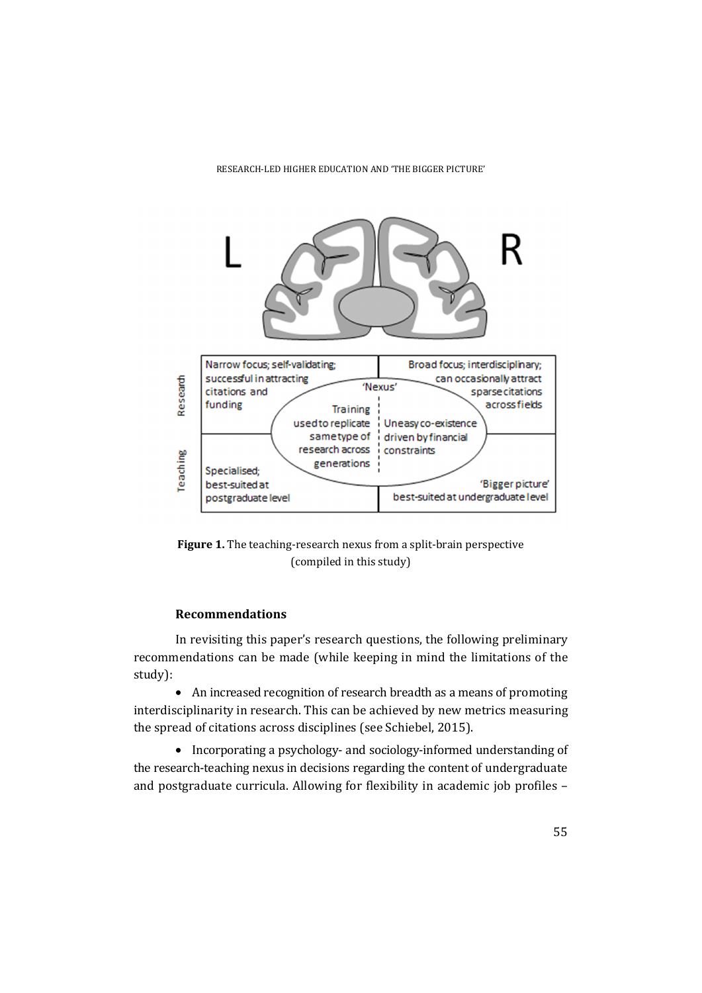

**Figure 1.** The teaching-research nexus from a split-brain perspective (compiled in this study)

# **Recommendations**

In revisiting this paper's research questions, the following preliminary recommendations can be made (while keeping in mind the limitations of the study):

• An increased recognition of research breadth as a means of promoting interdisciplinarity in research. This can be achieved by new metrics measuring the spread of citations across disciplines (see Schiebel, 2015).

• Incorporating a psychology- and sociology-informed understanding of the research-teaching nexus in decisions regarding the content of undergraduate and postgraduate curricula. Allowing for flexibility in academic job profiles –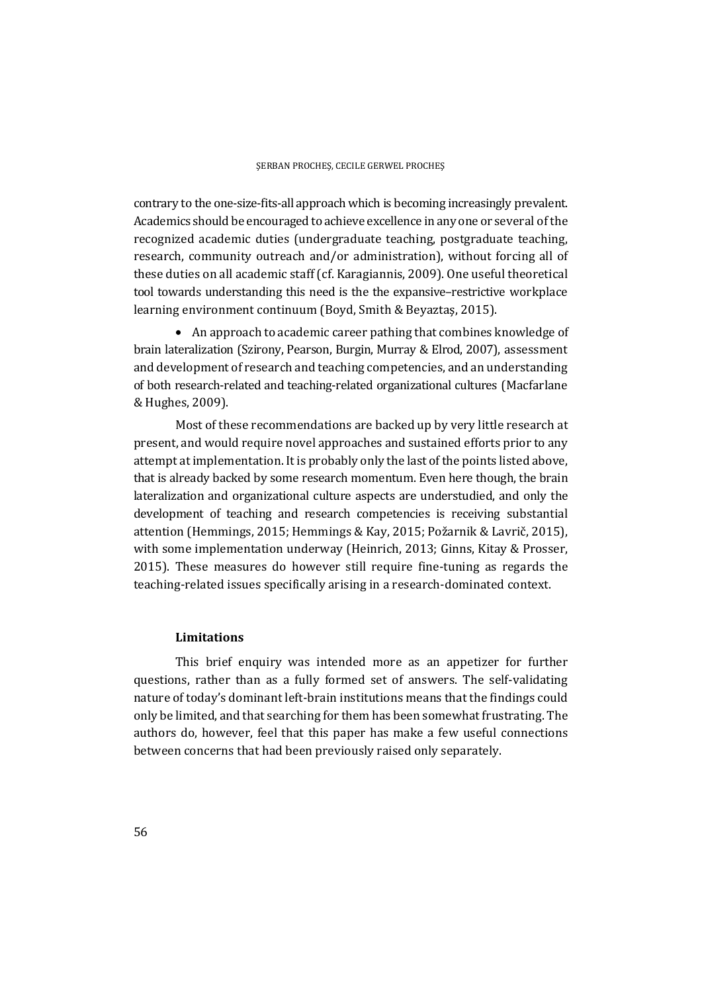contrary to the one-size-fits-all approach which is becoming increasingly prevalent. Academics should be encouraged to achieve excellence in any one or several of the recognized academic duties (undergraduate teaching, postgraduate teaching, research, community outreach and/or administration), without forcing all of these duties on all academic staff (cf. Karagiannis, 2009). One useful theoretical tool towards understanding this need is the the expansive–restrictive workplace learning environment continuum (Boyd, Smith & Beyaztaş, 2015).

 An approach to academic career pathing that combines knowledge of brain lateralization (Szirony, Pearson, Burgin, Murray & Elrod, 2007), assessment and development of research and teaching competencies, and an understanding of both research-related and teaching-related organizational cultures (Macfarlane & Hughes, 2009).

Most of these recommendations are backed up by very little research at present, and would require novel approaches and sustained efforts prior to any attempt at implementation. It is probably only the last of the points listed above, that is already backed by some research momentum. Even here though, the brain lateralization and organizational culture aspects are understudied, and only the development of teaching and research competencies is receiving substantial attention (Hemmings, 2015; Hemmings & Kay, 2015; Požarnik & Lavrič, 2015), with some implementation underway (Heinrich, 2013; Ginns, Kitay & Prosser, 2015). These measures do however still require fine-tuning as regards the teaching-related issues specifically arising in a research-dominated context.

## **Limitations**

This brief enquiry was intended more as an appetizer for further questions, rather than as a fully formed set of answers. The self-validating nature of today's dominant left-brain institutions means that the findings could only be limited, and that searching for them has been somewhat frustrating. The authors do, however, feel that this paper has make a few useful connections between concerns that had been previously raised only separately.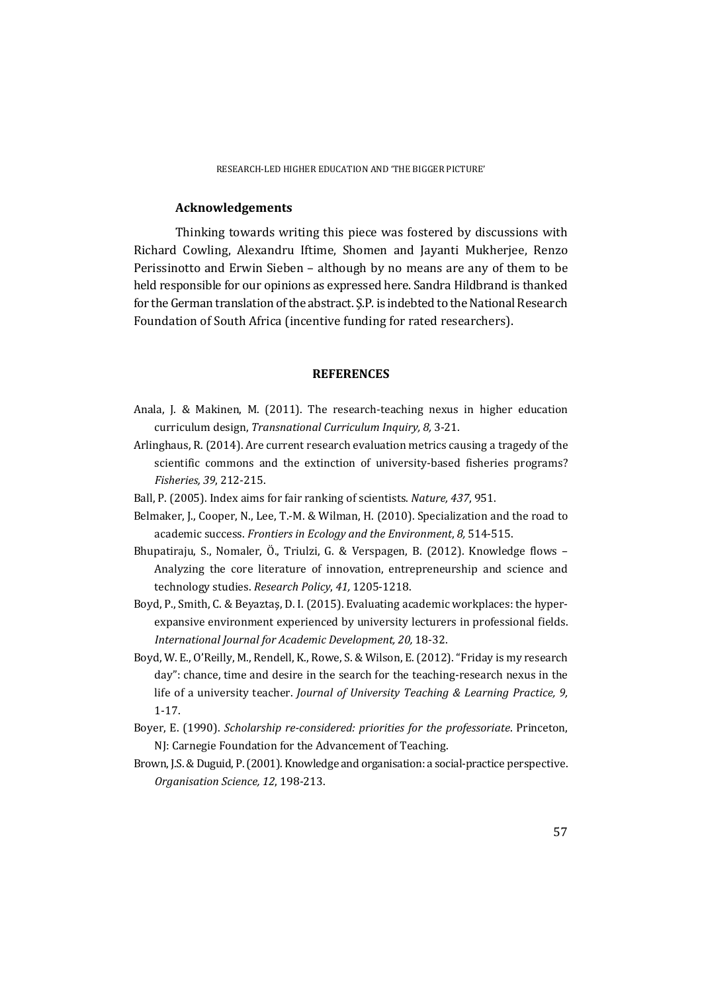#### **Acknowledgements**

Thinking towards writing this piece was fostered by discussions with Richard Cowling, Alexandru Iftime, Shomen and Jayanti Mukherjee, Renzo Perissinotto and Erwin Sieben – although by no means are any of them to be held responsible for our opinions as expressed here. Sandra Hildbrand is thanked for the German translation of the abstract. Ş.P. is indebted to the National Research Foundation of South Africa (incentive funding for rated researchers).

#### **REFERENCES**

- Anala, J. & Makinen, M. (2011). The research-teaching nexus in higher education curriculum design, *Transnational Curriculum Inquiry, 8,* 3-21.
- Arlinghaus, R. (2014). Are current research evaluation metrics causing a tragedy of the scientific commons and the extinction of university-based fisheries programs? *Fisheries, 39*, 212-215.
- Ball, P. (2005). Index aims for fair ranking of scientists. *Nature, 437*, 951.
- Belmaker, J., Cooper, N., Lee, T.-M. & Wilman, H. (2010). Specialization and the road to academic success. *Frontiers in Ecology and the Environment*, *8,* 514-515.
- Bhupatiraju, S., Nomaler, Ö., Triulzi, G. & Verspagen, B. (2012). Knowledge flows Analyzing the core literature of innovation, entrepreneurship and science and technology studies. *Research Policy*, *41,* 1205-1218.
- Boyd, P., Smith, C. & Beyaztaş, D. I. (2015). Evaluating academic workplaces: the hyperexpansive environment experienced by university lecturers in professional fields. *International Journal for Academic Development, 20,* 18-32.
- Boyd, W. E., O'Reilly, M., Rendell, K., Rowe, S. & Wilson, E. (2012). "Friday is my research day": chance, time and desire in the search for the teaching-research nexus in the life of a university teacher. *Journal of University Teaching & Learning Practice, 9,*  1-17.
- Boyer, E. (1990). *Scholarship re-considered: priorities for the professoriate*. Princeton, NJ: Carnegie Foundation for the Advancement of Teaching.
- Brown, J.S. & Duguid, P. (2001). Knowledge and organisation: a social-practice perspective. *Organisation Science, 12*, 198-213.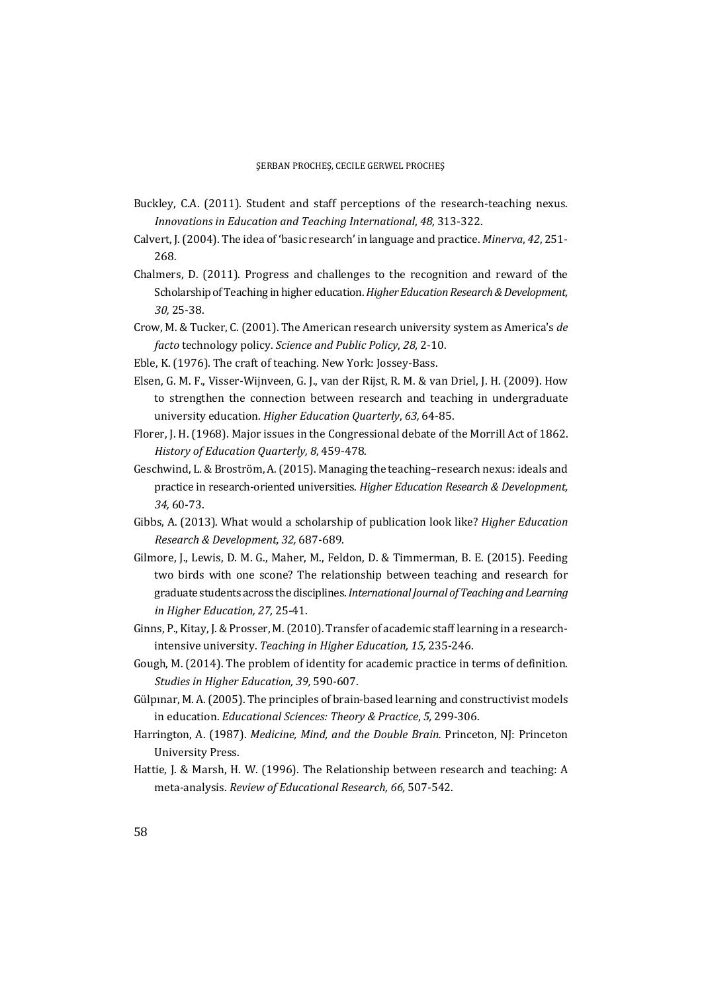- Buckley, C.A. (2011). Student and staff perceptions of the research-teaching nexus. *Innovations in Education and Teaching International*, *48,* 313-322.
- Calvert, J. (2004). The idea of 'basic research' in language and practice. *Minerva*, *42*, 251- 268.
- Chalmers, D. (2011). Progress and challenges to the recognition and reward of the Scholarship of Teaching in higher education. *Higher Education Research & Development, 30,* 25-38.
- Crow, M. & Tucker, C. (2001). The American research university system as America's *de facto* technology policy. *Science and Public Policy*, *28,* 2-10.
- Eble, K. (1976). The craft of teaching. New York: Jossey-Bass.
- Elsen, G. M. F., Visser-Wijnveen, G. J., van der Rijst, R. M. & van Driel, J. H. (2009). How to strengthen the connection between research and teaching in undergraduate university education. *Higher Education Quarterly*, *63,* 64-85.
- Florer, J. H. (1968). Major issues in the Congressional debate of the Morrill Act of 1862. *History of Education Quarterly, 8*, 459-478.
- Geschwind, L. & Broström, A. (2015). Managing the teaching–research nexus: ideals and practice in research-oriented universities. *Higher Education Research & Development, 34,* 60-73.
- Gibbs, A. (2013). What would a scholarship of publication look like? *Higher Education Research & Development, 32,* 687-689.
- Gilmore, J., Lewis, D. M. G., Maher, M., Feldon, D. & Timmerman, B. E. (2015). Feeding two birds with one scone? The relationship between teaching and research for graduate students across the disciplines. *International Journal of Teaching and Learning in Higher Education, 27,* 25-41.
- Ginns, P., Kitay, J. & Prosser, M. (2010). Transfer of academic staff learning in a researchintensive university. *Teaching in Higher Education, 15,* 235-246.
- Gough, M. (2014). The problem of identity for academic practice in terms of definition. *Studies in Higher Education, 39,* 590-607.
- Gülpınar, M. A. (2005). The principles of brain-based learning and constructivist models in education. *Educational Sciences: Theory & Practice*, *5,* 299-306.
- Harrington, A. (1987). *Medicine, Mind, and the Double Brain.* Princeton, NJ: Princeton University Press.
- Hattie, J. & Marsh, H. W. (1996). The Relationship between research and teaching: A meta-analysis. *Review of Educational Research, 66,* 507-542.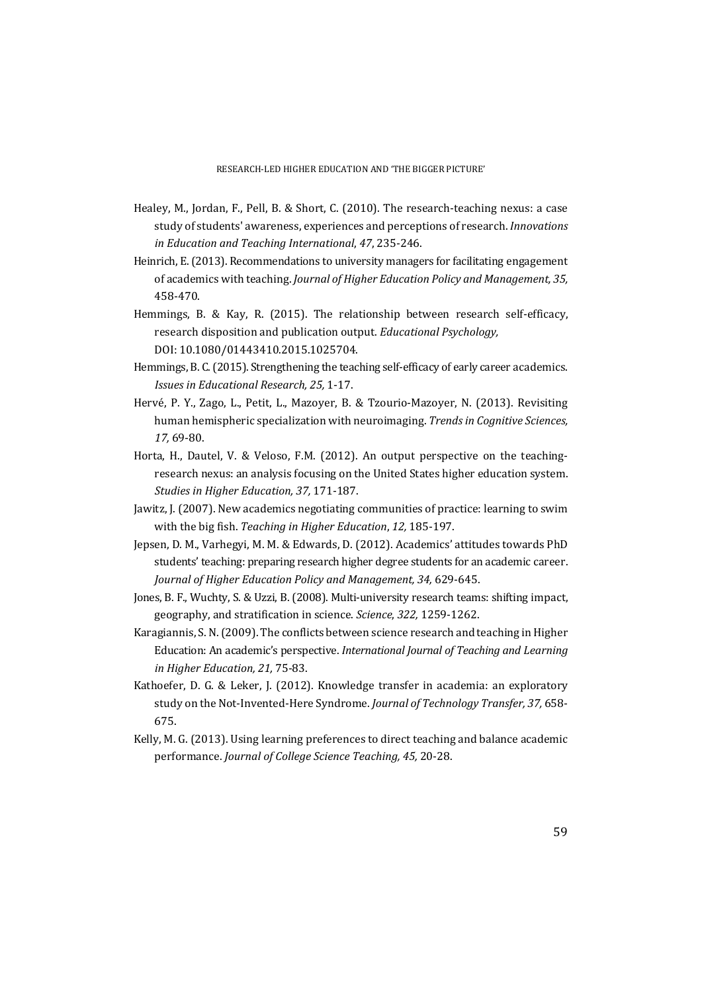- Healey, M., Jordan, F., Pell, B. & Short, C. (2010). The research-teaching nexus: a case study of students' awareness, experiences and perceptions of research. *Innovations in Education and Teaching International*, *47*, 235-246.
- Heinrich, E. (2013). Recommendations to university managers for facilitating engagement of academics with teaching. *Journal of Higher Education Policy and Management, 35,* 458-470.
- Hemmings, B. & Kay, R. (2015). The relationship between research self-efficacy, research disposition and publication output. *Educational Psychology,* DOI: 10.1080/01443410.2015.1025704.
- Hemmings, B. C. (2015). Strengthening the teaching self-efficacy of early career academics. *Issues in Educational Research, 25,* 1-17.
- Hervé, P. Y., Zago, L., Petit, L., Mazoyer, B. & Tzourio-Mazoyer, N. (2013). Revisiting human hemispheric specialization with neuroimaging. *Trends in Cognitive Sciences, 17,* 69-80.
- Horta, H., Dautel, V. & Veloso, F.M. (2012). An output perspective on the teachingresearch nexus: an analysis focusing on the United States higher education system. *Studies in Higher Education, 37,* 171-187.
- Jawitz, J. (2007). New academics negotiating communities of practice: learning to swim with the big fish. *Teaching in Higher Education*, *12,* 185-197.
- Jepsen, D. M., Varhegyi, M. M. & Edwards, D. (2012). Academics' attitudes towards PhD students' teaching: preparing research higher degree students for an academic career. *Journal of Higher Education Policy and Management, 34,* 629-645.
- Jones, B. F., Wuchty, S. & Uzzi, B. (2008). Multi-university research teams: shifting impact, geography, and stratification in science. *Science*, *322,* 1259-1262.
- Karagiannis, S. N. (2009). The conflicts between science research and teaching in Higher Education: An academic's perspective. *International Journal of Teaching and Learning in Higher Education, 21,* 75-83.
- Kathoefer, D. G. & Leker, J. (2012). Knowledge transfer in academia: an exploratory study on the Not-Invented-Here Syndrome. *Journal of Technology Transfer, 37,* 658- 675.
- Kelly, M. G. (2013). Using learning preferences to direct teaching and balance academic performance. *Journal of College Science Teaching, 45,* 20-28.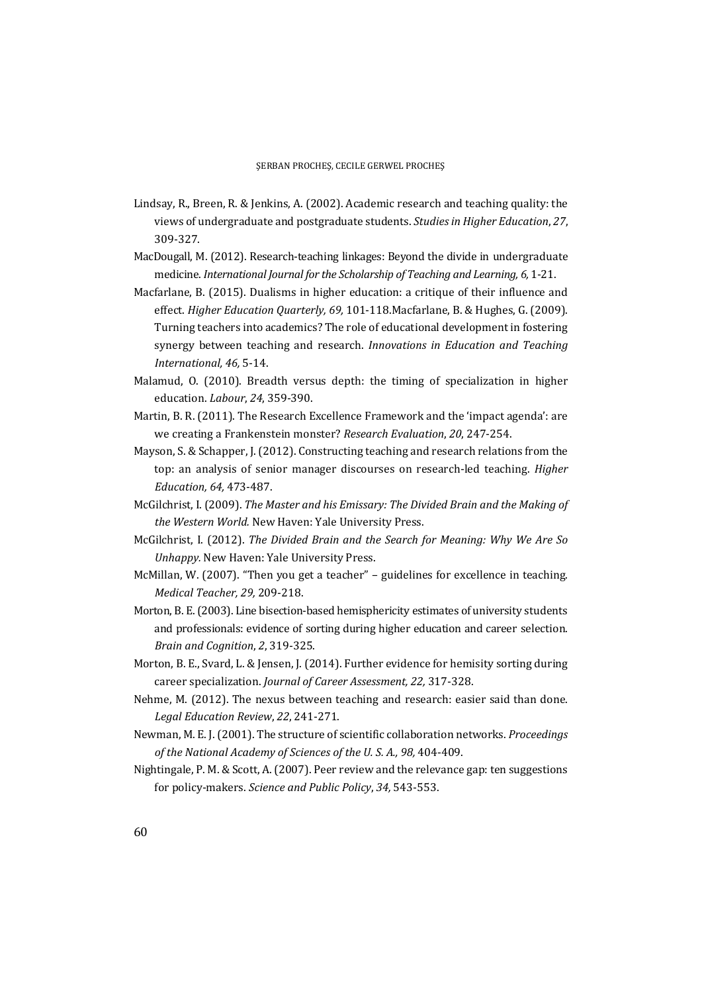- Lindsay, R., Breen, R. & Jenkins, A. (2002). Academic research and teaching quality: the views of undergraduate and postgraduate students. *Studies in Higher Education*, *27*, 309-327.
- MacDougall, M. (2012). Research-teaching linkages: Beyond the divide in undergraduate medicine. *International Journal for the Scholarship of Teaching and Learning, 6,* 1-21.
- Macfarlane, B. (2015). Dualisms in higher education: a critique of their influence and effect. *Higher Education Quarterly, 69,* 101-118.Macfarlane, B. & Hughes, G. (2009). Turning teachers into academics? The role of educational development in fostering synergy between teaching and research. *Innovations in Education and Teaching International, 46,* 5-14.
- Malamud, O. (2010). Breadth versus depth: the timing of specialization in higher education. *Labour*, *24*, 359-390.
- Martin, B. R. (2011). The Research Excellence Framework and the 'impact agenda': are we creating a Frankenstein monster? *Research Evaluation*, *20*, 247-254.
- Mayson, S. & Schapper, J. (2012). Constructing teaching and research relations from the top: an analysis of senior manager discourses on research-led teaching. *Higher Education, 64,* 473-487.
- McGilchrist, I. (2009). *The Master and his Emissary: The Divided Brain and the Making of the Western World.* New Haven: Yale University Press.
- McGilchrist, I. (2012). *The Divided Brain and the Search for Meaning: Why We Are So Unhappy.* New Haven: Yale University Press.
- McMillan, W. (2007). "Then you get a teacher" guidelines for excellence in teaching. *Medical Teacher, 29,* 209-218.
- Morton, B. E. (2003). Line bisection-based hemisphericity estimates of university students and professionals: evidence of sorting during higher education and career selection. *Brain and Cognition*, *2*, 319-325.
- Morton, B. E., Svard, L. & Jensen, J. (2014). Further evidence for hemisity sorting during career specialization. *Journal of Career Assessment, 22,* 317-328.
- Nehme, M. (2012). The nexus between teaching and research: easier said than done. *Legal Education Review*, *22*, 241-271.
- Newman, M. E. J. (2001). The structure of scientific collaboration networks. *Proceedings of the National Academy of Sciences of the U. S. A., 98,* 404-409.
- Nightingale, P. M. & Scott, A. (2007). Peer review and the relevance gap: ten suggestions for policy-makers. *Science and Public Policy*, *34,* 543-553.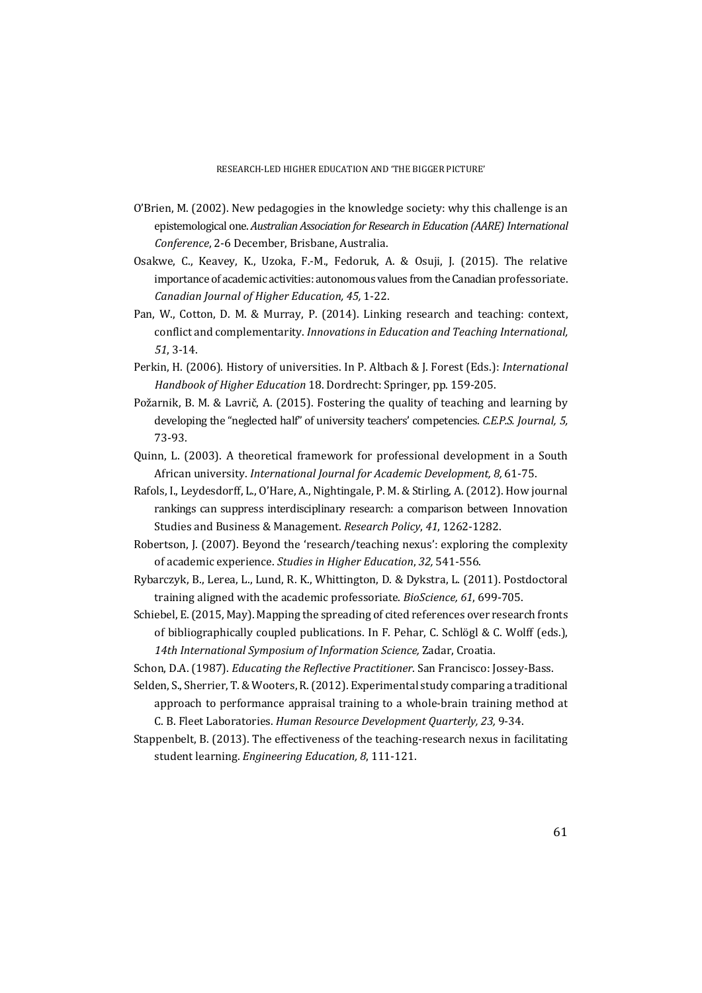- O'Brien, M. (2002). New pedagogies in the knowledge society: why this challenge is an epistemological one. *Australian Association for Research in Education (AARE) International Conference*, 2-6 December, Brisbane, Australia.
- Osakwe, C., Keavey, K., Uzoka, F.-M., Fedoruk, A. & Osuji, J. (2015). The relative importance of academic activities: autonomous values from the Canadian professoriate. *Canadian Journal of Higher Education, 45,* 1-22.
- Pan, W., Cotton, D. M. & Murray, P. (2014). Linking research and teaching: context, conflict and complementarity. *Innovations in Education and Teaching International, 51*, 3-14.
- Perkin, H. (2006). History of universities. In P. Altbach & J. Forest (Eds.): *International Handbook of Higher Education* 18. Dordrecht: Springer, pp. 159-205.
- Požarnik, B. M. & Lavrič, A. (2015). Fostering the quality of teaching and learning by developing the "neglected half" of university teachers' competencies. *C.E.P.S. Journal, 5,* 73-93.
- Quinn, L. (2003). A theoretical framework for professional development in a South African university. *International Journal for Academic Development, 8,* 61-75.
- Rafols, I., Leydesdorff, L., O'Hare, A., Nightingale, P. M. & Stirling, A. (2012). How journal rankings can suppress interdisciplinary research: a comparison between Innovation Studies and Business & Management. *Research Policy*, *41*, 1262-1282.
- Robertson, J. (2007). Beyond the 'research/teaching nexus': exploring the complexity of academic experience. *Studies in Higher Education*, *32,* 541-556.
- Rybarczyk, B., Lerea, L., Lund, R. K., Whittington, D. & Dykstra, L. (2011). Postdoctoral training aligned with the academic professoriate. *BioScience, 61*, 699-705.
- Schiebel, E. (2015, May). Mapping the spreading of cited references over research fronts of bibliographically coupled publications. In F. Pehar, C. Schlögl & C. Wolff (eds.), *14th International Symposium of Information Science,* Zadar, Croatia.
- Schon, D.A. (1987). *Educating the Reflective Practitioner*. San Francisco: Jossey-Bass.
- Selden, S., Sherrier, T. & Wooters, R. (2012). Experimental study comparing a traditional approach to performance appraisal training to a whole-brain training method at C. B. Fleet Laboratories. *Human Resource Development Quarterly, 23,* 9-34.
- Stappenbelt, B. (2013). The effectiveness of the teaching-research nexus in facilitating student learning. *Engineering Education, 8*, 111-121.